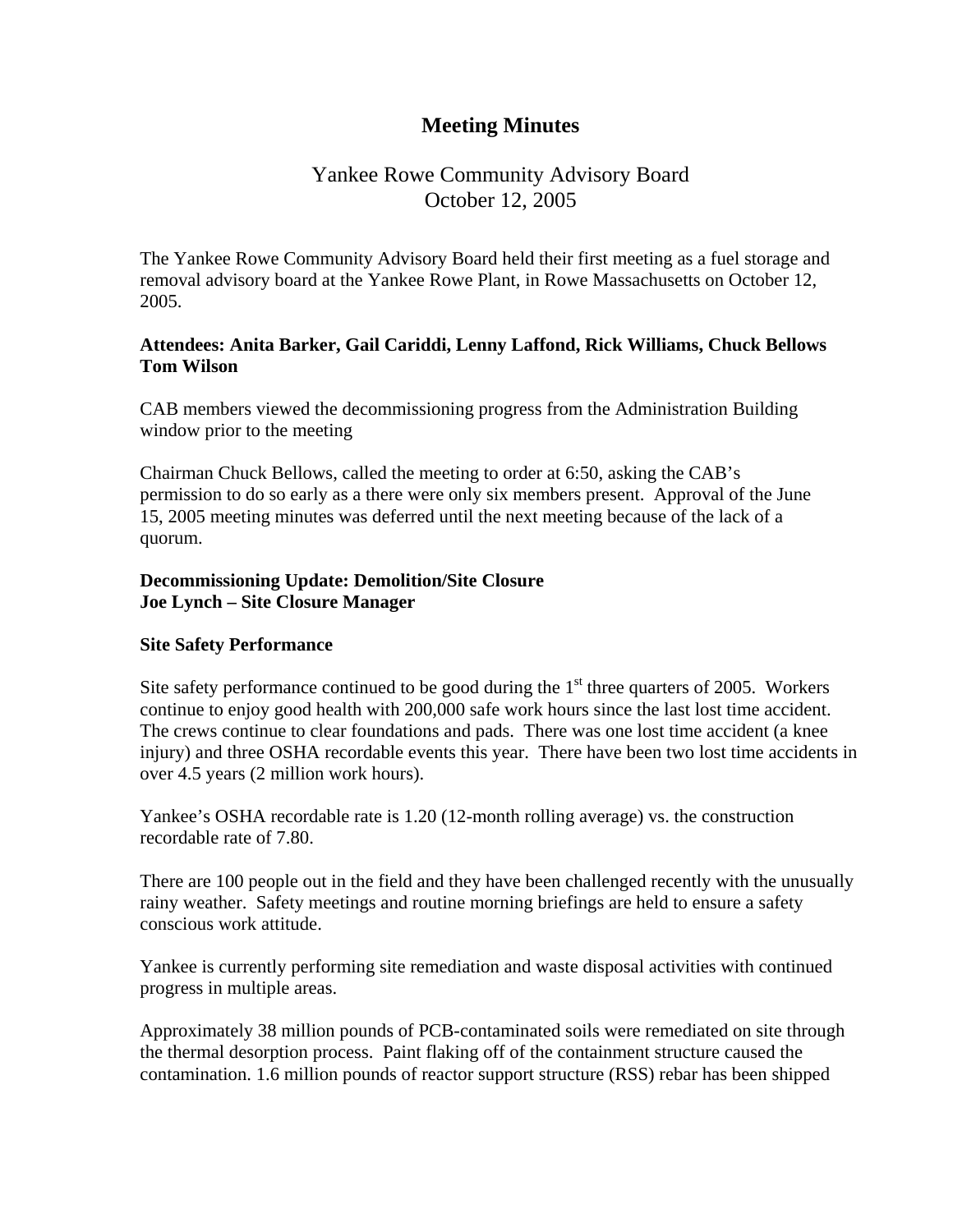# **Meeting Minutes**

# Yankee Rowe Community Advisory Board October 12, 2005

The Yankee Rowe Community Advisory Board held their first meeting as a fuel storage and removal advisory board at the Yankee Rowe Plant, in Rowe Massachusetts on October 12, 2005.

### **Attendees: Anita Barker, Gail Cariddi, Lenny Laffond, Rick Williams, Chuck Bellows Tom Wilson**

CAB members viewed the decommissioning progress from the Administration Building window prior to the meeting

Chairman Chuck Bellows, called the meeting to order at 6:50, asking the CAB's permission to do so early as a there were only six members present. Approval of the June 15, 2005 meeting minutes was deferred until the next meeting because of the lack of a quorum.

### **Decommissioning Update: Demolition/Site Closure Joe Lynch – Site Closure Manager**

### **Site Safety Performance**

Site safety performance continued to be good during the  $1<sup>st</sup>$  three quarters of 2005. Workers continue to enjoy good health with 200,000 safe work hours since the last lost time accident. The crews continue to clear foundations and pads. There was one lost time accident (a knee injury) and three OSHA recordable events this year. There have been two lost time accidents in over 4.5 years (2 million work hours).

Yankee's OSHA recordable rate is 1.20 (12-month rolling average) vs. the construction recordable rate of 7.80.

There are 100 people out in the field and they have been challenged recently with the unusually rainy weather. Safety meetings and routine morning briefings are held to ensure a safety conscious work attitude.

Yankee is currently performing site remediation and waste disposal activities with continued progress in multiple areas.

Approximately 38 million pounds of PCB-contaminated soils were remediated on site through the thermal desorption process. Paint flaking off of the containment structure caused the contamination. 1.6 million pounds of reactor support structure (RSS) rebar has been shipped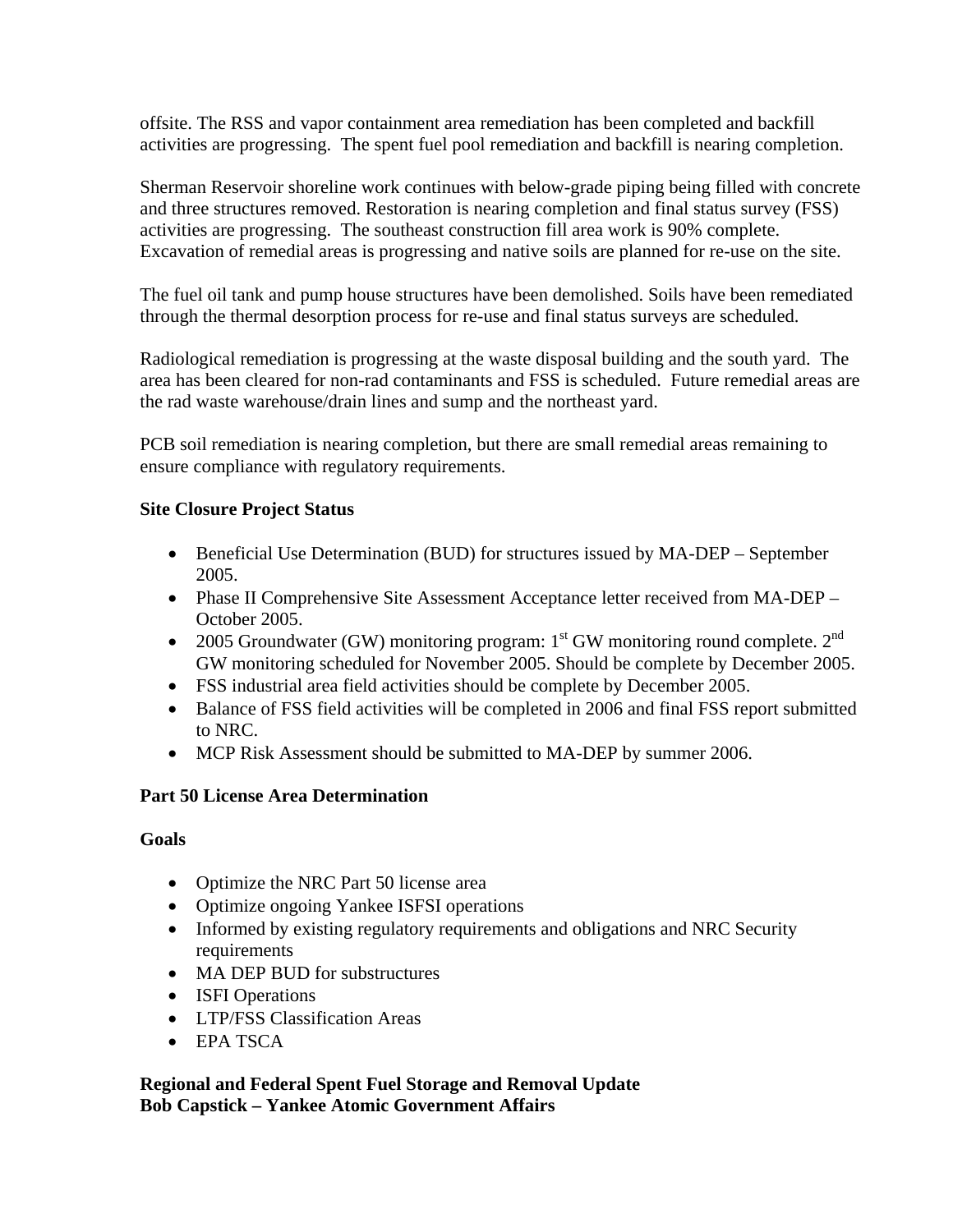offsite. The RSS and vapor containment area remediation has been completed and backfill activities are progressing. The spent fuel pool remediation and backfill is nearing completion.

Sherman Reservoir shoreline work continues with below-grade piping being filled with concrete and three structures removed. Restoration is nearing completion and final status survey (FSS) activities are progressing. The southeast construction fill area work is 90% complete. Excavation of remedial areas is progressing and native soils are planned for re-use on the site.

The fuel oil tank and pump house structures have been demolished. Soils have been remediated through the thermal desorption process for re-use and final status surveys are scheduled.

Radiological remediation is progressing at the waste disposal building and the south yard. The area has been cleared for non-rad contaminants and FSS is scheduled. Future remedial areas are the rad waste warehouse/drain lines and sump and the northeast yard.

PCB soil remediation is nearing completion, but there are small remedial areas remaining to ensure compliance with regulatory requirements.

# **Site Closure Project Status**

- Beneficial Use Determination (BUD) for structures issued by MA-DEP September 2005.
- Phase II Comprehensive Site Assessment Acceptance letter received from MA-DEP October 2005.
- 2005 Groundwater (GW) monitoring program:  $1<sup>st</sup>$  GW monitoring round complete.  $2<sup>nd</sup>$ GW monitoring scheduled for November 2005. Should be complete by December 2005.
- FSS industrial area field activities should be complete by December 2005.
- Balance of FSS field activities will be completed in 2006 and final FSS report submitted to NRC.
- MCP Risk Assessment should be submitted to MA-DEP by summer 2006.

# **Part 50 License Area Determination**

# **Goals**

- Optimize the NRC Part 50 license area
- Optimize ongoing Yankee ISFSI operations
- Informed by existing regulatory requirements and obligations and NRC Security requirements
- MA DEP BUD for substructures
- **ISFI** Operations
- LTP/FSS Classification Areas
- EPA TSCA

# **Regional and Federal Spent Fuel Storage and Removal Update Bob Capstick – Yankee Atomic Government Affairs**